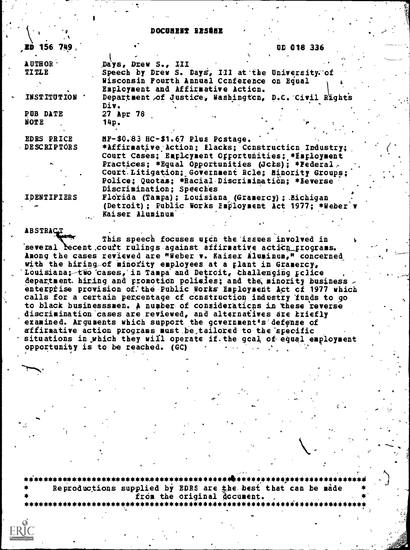## DOCUMENT RESONE

Employment and Affirmative Action.

Days, Drew S., III

Div.

ED 156 749

**AUTHOR TITLE** 

**INSTITUTION** 

PUB DATE **NOTE** 

**EDES PRICE DESCRIPTORS** 

27 Apr 78 14p. MF-\$0.83 HC-\$1.67 Plus Postage. \*Affirmative Action; Elacks; Construction Industry; Court Cases; Eaplcyment Opportunities; \*Eaployment Practices; \*Equal Opportunities (Jcbs); \*Federal. Court Litigation; Government Rcle; Minority Groups; Police; Quotas; \*Racial Discrimination; \*Beverse Discrimination; Speeches Florida (Tampa); Louisiana (Gramercy); Michigan

Department of Justice, Washington, D.C. Civil Rights

Speech by Drew S. Days, III at the University of

Wisconsin Fourth Annual Conference on Equal

**UD 018 336** 

(Detroit); Public Works Employment Act 1977; \*Weber v Kaiser Aluminum

ABSTRACT

**IDENTIFIERS** 

This speech focuses uten the issues involved in several recent court rulings against affirmative acticn programs. Among the cases reviewed are "Weber v. Kaiser Aluminum," concerned with the hiring of minority employees at a plant in Gramercy, Louisiana; two cases, in Tampa and Detroit, challenging police department hiring and promotion policies; and the minority business  $\overline{\phantom{a}}$ enterprise provision of the Public Works Employment Act of 1977 which calls for a certain percentage of construction industry funds to go to black businesssmen. A number of considerations in these reverse discrimination cases are reviewed, and alternatives are kriefly examined. Arguments which support the government's defense of affirmative action programs must be tailored to the specific situations in which they will operate if the goal of equal employment opportunity is to be reached. (GC)

\*\*\*\*\*\*\*\* Reproductions supplied by EDRS are the best that can be made from the original document. \*\*\*\*\*\*\*\*\*\*\*\*\*\*\*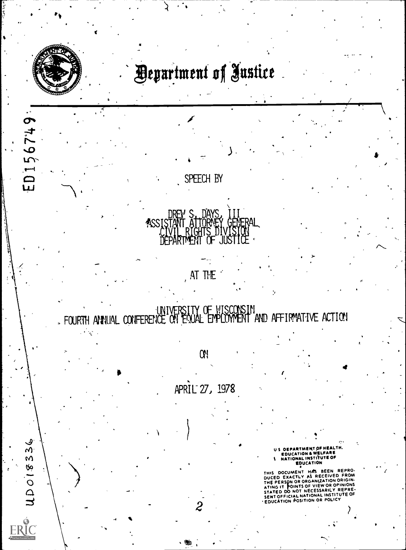

ED156749:

UD018336

## **Department of Justice**



AT THE

UNIVERSITY OF HISCONSIN

 $\alpha$ 

APRIL 27, 1978

OEPARTMENT OF HEALTH. EDUCATION & WELFARE<br>NATIONAL INSTITUTE OF

THIS DOCUMENT HAS BEEN REPRO-<br>DUCED EXACTLY AS RECEIVED FROM<br>THE PERSON OR ORGANIZATION ORIGINA<br>ATING IT POINTS OF VIEW OR OPINIONS<br>SENTO POINT NATIONAL INSTITUTE OF<br>SENTO PFICIAL NATIONAL INSTITUTE OF<br>EDUCATION POSITION O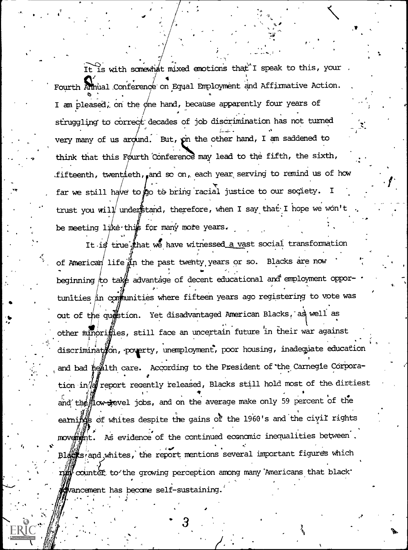It is with somewhat mixed emotions that I speak to this, your , Fourth Annual Conference on Equal Employment and Affirmative Action. I am pleased, on the one hand, because apparently four years of struggling to correct decades of job discrimination has not turned very many of us around. But,  $\hat{\rho}$ n the other hand, I am saddened to think that this Fourth Conference may lead to the fifth, the sixth, .fifteenth, twentieth, and so on, each year serving to remind us of how far we still have to go to bring racial justice to our society. trust you will understand, therefore, when I say that I hope we won't be meeting like this for many more years.

It is true that we have witnessed a vast social transformation of American life in the past twenty years or so. Blacks are now beginning to take advantage of decent educational and employment oppor tunities in communities where fifteen years ago registering to vote was out of the qu∰stion. Yet disadvantaged American Blacks, as well as other minorifies, still face an uncertain future in their war against discrimination, poverty, unemployment, poor housing, inadequate education and bad health care. According to the President of the Carnegie Corpora-, tion in a report recently released, Blacks still hold most of the dirtiest and the  $\frac{d}{dx}$  cv- $\pm$ evel jobs, and on the average make only 59 percent of the earnings of whites despite the gains of the 1960's and the civil rights mover ant. As evidence of the continued economic inequalities between. B1as and whites, the report mentions several important figures which right counter to the growing perception among many Americans that black' whencement has become self-sustaining.

3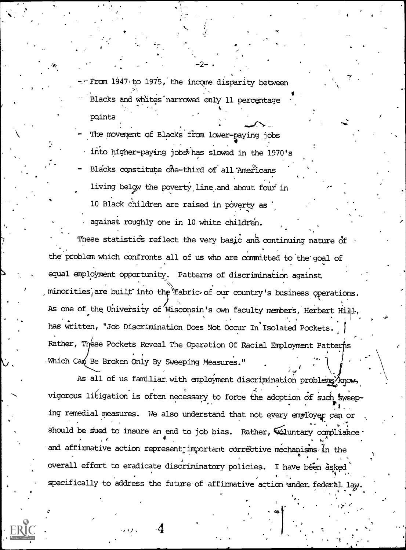From 1947 to 1975, the income disparity between Blacks and whites' narrowed only II percentage points

 $-2-$ ,  $\frac{1}{2}$ 

 $\blacksquare$ 

°° ≥ ° ° ° ° °

, .

The movement of Blacks from lower-paying jobs into higher-paying jobs has slowed in the 1970's Blacks constitute one-third of all 'Americans living belgw the poverty line and about four in

10 Black children are raised in poverty as ' against roughly one in 10 white children.

These statistics reflect the very basic and continuing nature of the problem which confronts all of us who are committed to the goal of equal employment opportunity. Patterns of discrimination.against minorities, are built into the fabric of our country's business operations. As one of the University of Wisconsin's own faculty members, Herbert Hill. has written, "Job Discrimination Does Not Occur In' Isolated Pockets. Rather, These Pockets Reveal The Operation Of Racial Employment Patterns Which Can Be Broken Only By Sweeping Measures."

As all of us familiar with employment discrimination problems/know, vigorous litigation is often necessary to force the adoption of such sweeping remedial measures. We also understand that not every employer can or should be sued to insure an end to job bias. Rather, **Wol**untary compliance .  $\blacksquare$ and affirmative action represent; important corrective mechanisms in the overall effort to eradicate discriminatory policies. I have been asked e. $\sim$  , and  $\sim$ specifically to address the future of affirmative action under. federal law.

 $\cup$ .  $4$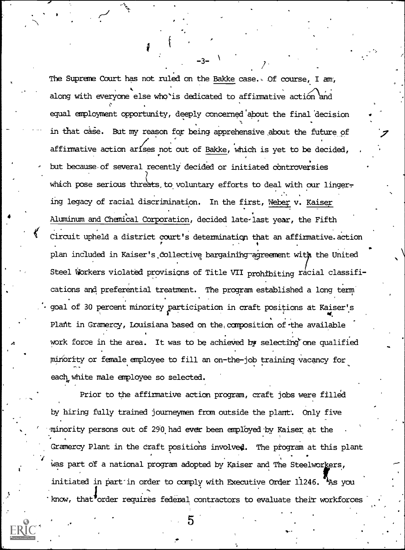The Supreme Court has not ruled on the Bakke case.. Of course, I am, along with everyone else who'is dedicated to affirmative action and equal employment opportunity, deeply concerned'about the final 'decision in that case. But my reason for being apprehensive about the future of affirmative action arises not out of Bakke, which is yet to be decided, but because-of several recently decided or initiated controversies which pose serious threats, to voluntary efforts to deal with our lingering legacy of racial discrimination. In the first, Weber v. Kaiser Aluminum and Chemical Corporation, decided late-last year, the Fifth Circuit upheld a district court's determination that an affirmative. action plan included in Kaiser's collective bargaining agreement with the United Steel Workers violated provisions of Title VII prohibiting racial classifications and preferential treatment. The program established a long term' goal of 30 percent minority participation in craft positions at Kaiser's  $\blacksquare$ Plant in Gramercy, Louisiana based on the, composition of the available work force in the area. It was to be achieved by selecting one qualified minority or female employee to fill an on-the-job training vacancy for each white male employee so selected.

7

 $\bullet$  and  $\bullet$ 

 $\mathbf{v}$  , where  $\mathbf{v}$ .

i

Prior to the affirmative action program, craft jobs were filled by hiring fully trained journeymen from outside the plant'. Only five minority persons out of 290 had ever been employed by Kaiser at the . Gramercy Plant in the craft positions involved. The program at this plant was part of a national program adopted by Kaiser and The Steelworkers, initiated in part in order to comply with Executive Order 11246. As you  $\,$ know, that<sup>9</sup> order requires fedenal contractors to evaluate their workforces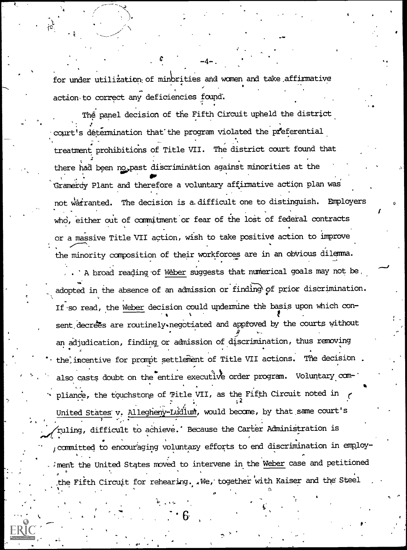for under utilization of minorities and women and take affirmative action to correct any deficiencies found.

 $-4-$ .  $\qquad \qquad$ 

 $\mathcal{A}$ 

The panel decision of the Fifth Circuit upheld the district court's determination that'the program violated the pfeferential treatment prohibitions of Title VII. The district court found that there had been no past discrimination against minorities at the Gramerdy Plant and therefore a voluntary affirmative action plan was not watranted. The decision is a difficult one to distinguish. Employers we want who, either out of commitment or fear of the lost of federal contracts or a massive Title VII action, wish to take positive action to improve the minority composition of their workforces are in an obvious dilemma.

6 pliande, the touchstone of Title VII, as the Fifth Circuit noted in . A broad reading of Weber suggests that numerical goals may not be adopted in the absence of an admission or finding of prior discrimination. If so read, the Weber decision could undermine the basis upon which con- $\mathbf{v}$  . The  $\mathbf{v}$ sent decrees are routinely.negotiated and approved by the courts without an adjudication, finding or admission of discrimination, thus removing the incentive for prompt settlement of Title VII actions. The decision also casts doubt on the entire executive order program. Voluntary com- $;2$ United States v. Allegheny-Ludium, would become, by that same court's ruling, difficult to achieve.' Because the Carter Administration is ,, committed to encouraging voluntary efforts to end discrimination in employ-, . ;ment the United States moved to intervene in the Weber case and petitioned o the Fifth Circuit for rehearing. We, together with Kaiser and the Steel

°^.

o'

, where  $\mathbf{v}_1$  is the set of  $\mathbf{v}_2$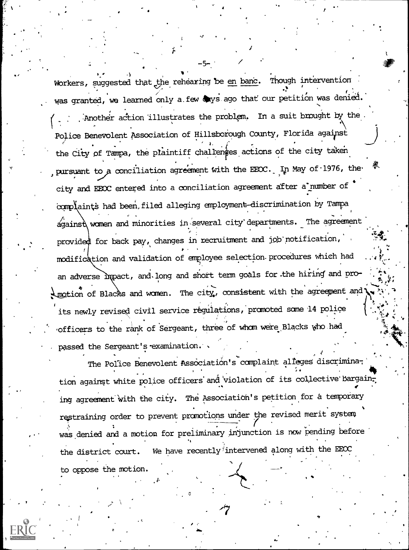$\bullet$   $\bullet$   $\bullet$   $\bullet$   $\bullet$   $\bullet$   $\bullet$   $\bullet$ Workers, suggested that the rehearing be <u>en</u> banc. Though intervention was granted, we learned only a few days ago that our petition was denied. Another action illustrates the problem. In a suit brought by the Po1ice Benevolent Association of Hillsborough County, Florida against the City of Tampa, the plaintiff challenges actions of the city taken pursuant to a conciliation agreement with the EEOC. In May of 1976, the city and EEOC entered into a conciliation agreement after a'number of complaints had been, filed alleging employment-discrimination by Tampa against women and provided for back pay, changes in recruitment and job notification,  $\ldots$  $\int$  ,  $\frac{1}{2}$ women and minorities in several city departments. The agreement modification and validation of employee selection procedures which had an adverse impact,  $4\sigma$ motion of Blacks and women. The city, consistent with the agreement and  $\setminus$ , and long and short term goals for the hiring and pro- $\mathcal{L} = \sum_{i=1}^n \mathbf{1}_{\mathcal{L}_i} \mathbf{1}_{\mathcal{L}_i}$ its newly revised civil service regulations, promoted sane 14 police officers to the rank of Sergeant, three of wham were Blacks who had passed the Sergeant's-examination...

-5-

a a shekarar 1990

55.

**v** 

 $\mathbb{R}^{k \times k}$ 

 $\left|\frac{1}{2}\right| \leq \frac{1}{2}$  $\lambda$ 

.

**In the contract of the contract** The Police Benevolent Association's complaint alleges discrimina<del>.</del> **111** tion against white police officers'ana 'violation of its coljective'bergain; ing agreement with the city. The Association's petition for a temporary restraining order to prevent promotions under the revised merit system ; the contract of the contract of  $\overline{f}$  ,  $\overline{f}$  ,  $\overline{f}$  ,  $\overline{f}$  ,  $\overline{f}$  ,  $\overline{f}$ was denied and a motion for preliminary injunction is now pending before the district court. We have recently intervened along with the EEOC to oppose the motion.

V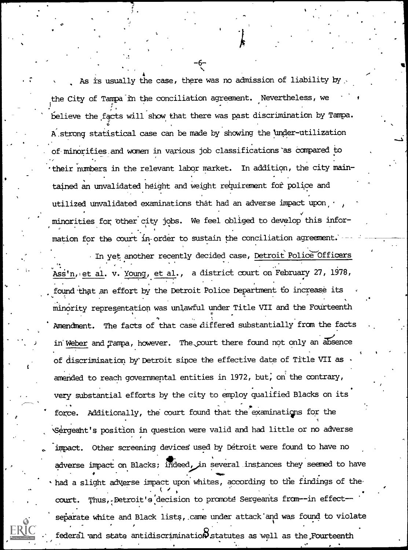As is usually the case, there was no admission of liability by  $\sim$ the City of Tampa in the conciliation agreement. Nevertheless, we believe the facts will show that there was past discrimination by Tampa.  $\mathbf{v}$  and  $\mathbf{v}$ A strong statistical case can be made by showing the 'under-utilization of minorities and women in various job classifications as compared to their numbers in the relevant labor market. In addition, the city maintained an unvalidated height and weight requirement for police and utilized unvalidated examinations that had an adverse impact upon, minorities for other city jobs. We feel obliged to develop this information for the court in-order to sustain the conciliation agreement. .

 $\mathbf{v}_1$ 

4

 $-\mathbf{e}$  . The set of  $-\mathbf{e}$ 

**O** Contract of the Contract of the Contract of the Contract of the Contract of the Contract of the Contract of

In yet another recently decided case, Detroit Police Officers  $\overline{\phantom{a}}$ AsS'n,:et al. v. Young, et al., a district court on February 27, 1978, found that an effort by the Detroit Police Department to increase its minority representation was unlawful under Title VII and the Fourteenth Amendment. The facts of that case differed substantially fran the facts in Weber and Tampa, however. The court there found not only an absence of discrimination by' Detroit since the effective date of Title VII as amended to reach governmental entities in 1972, but, on the contrary, very substantial efforts by the city to employ qualified Blacks on its force. Additionally, the court found that the examinations for the Sergeant's position in question were valid and had little or no adverse impact. Other screening devices used by Detroit were found to have no adverse impact on Blacks; indeed, in several instances they seemed to have<br>had a slight adverse impact upon whites, according to the findings of thecourt. Thus, Detroit's decision to promote Sergeants from--in effect--. separate white and Black lists,.came under attack'and was found to violate federal and state antidiscriminatio $\delta$  statutes as well as the Fourteenth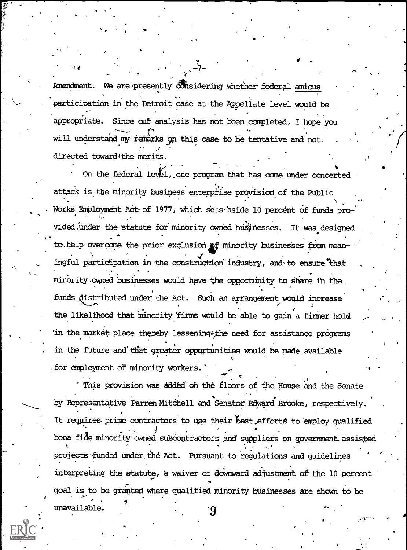Amendment. We are presently considering whether federal amicus participation in the Detroit case at the Appellate level would be appropriate. Since out analysis has not been completed, I hope you will understand my remarks on this case to be tentative and not. directed toward'the merits.

On the federal level, one program that has come under concerted attack is the minority business enterprise provision of the Public Works Employment Act of 1977, which sets aside 10 percent of funds provided under the statute for minority owned businesses. It was designed to help overcome the prior exclusion of minority businesses from meaningful participation in the construction industry, and to ensure that minority owned businesses would have the opportunity to share in the. funds distributed under the Act. Such an arrangement would increase the likelihood that minority firms would be able to gain a firmer hold in the market place thereby lessening the need for assistance programs in the future and that greater opportunities would be made available for employment of minority workers.

This provision was added on the floors of the House and the Senate by Representative Parren Mitchell and Senator Edward Brooke, respectively. It requires prime contractors to use their best efforts to employ qualified bona fide minority owned subcontractors and suppliers on government assisted projects funded under the Act. Pursuant to regulations and guidelines interpreting the statute, a waiver or downward adjustment of the 10 percent goal is to be granted where qualified minority businesses are shown to be unavailable.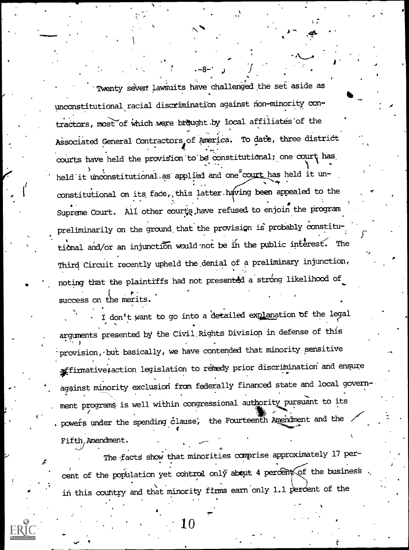Twenty seven lawsuits have challenged the set aside as unconstitutional racial discrimination against non-minority contractors, most of which were brought by local affiliates of the Associated General Contractors of America. To date, three district courts have held the provision to be constitutional; one court has held it unconstitutional as applied and one court has held it unconstitutional on its face, this latter. having been appealed to the Supreme Court. All other courts have refused to enjoin the program preliminarily on the ground that the provision is probably constitutional and/or an injunction would not be in the public interest. The Third Circuit recently upheld the\_denial of a preliminary injunction, noting that the plaintiffs had not presented a strong likelihood of <sup>f</sup> r. success on the merits.

 $\tau$ 

..

I don't want to go into a detailed explanation of the legal contract in the local arguments presented by the Civil, Rights Division in defense of this provision, but basically, we have contended that minority sensitive  ${\tt fimative}$  , firmative action legislation to remedy prior discrimination and ensure against minority exclusion from federally financed state and local government programs is well within congressional authority pursuant to its powers under the spending clause, the Fourteenth Amendment and the Francesco Co Fifth, Amendment.

....J - % The facts show that minorities comprise approximately 17 per-  $\blacksquare$ cent of the population yet control only about 4 percent of the business .  $\qquad \qquad$ in this country and that minority firms earn only 1.1 percent of the second that  $\ddot{\phantom{a}}$ 

OM.

10

 $\mathcal{L}$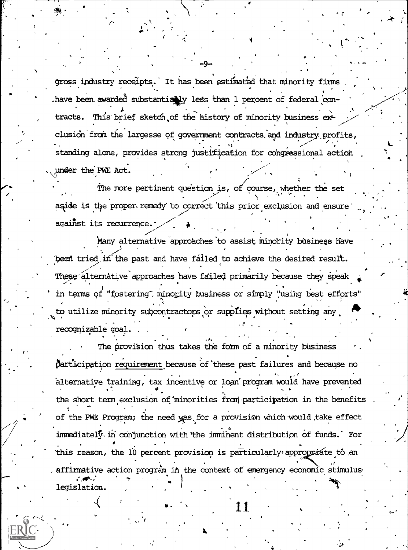gross industry receipts. It has been estimated that minority firms have been awarded substantially less than 1 percent of federal contracts. This brief sketch of the history of minority business exclusion from the largesse of government contracts and industry profits, standing alone, provides strong justification for congressional action under the PWE Act.

The more pertinent question is, of course, whether the set aside is the proper remedy to correct this prior exclusion and ensure against its recurrence.

Many alternative approaches to assist minority business have been tried in the past and have failed to achieve the desired result. These alternative approaches have failed primarily because they speak in terms of "fostering" minority business or simply "using best efforts" to utilize minority subcontractors or supplies without setting any recognizable goal.

The provision thus takes the form of a minority business participation requirement because of these past failures and because no alternative training, tax incentive or loan program would have prevented the short term exclusion of 'minorities from participation in the benefits of the PWE Program; the need was for a provision which would take effect immediately in conjunction with the imminent distribution of funds. For this reason, the 10 percent provision is particularly appropriate to an affirmative action program in the context of emergency economic stimulus legislation.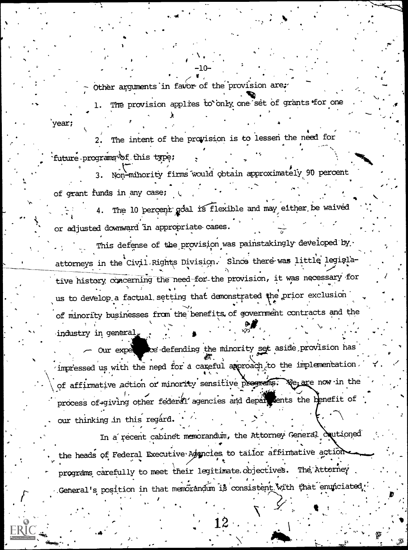Other arguments in favor of the provision are; The provision applies to only one set of grants for one year;

The intent of the provision is to lessen the need for future programs of this type;

Non-minority firms would obtain approximately 90 percent  $3.$ of grant funds in any case;

The 10 percent goal is flexible and may either be waived or adjusted downward in appropriate cases.

This defense of the provision was painstakingly developed by. attorneys in the Civil Rights Division. Since there was little legislative history concerning the need-for-the provision, it was necessary for us to develop a factual setting that demonstrated the prior exclusion of minority businesses from the benefits of government contracts and the industry in general<u>.</u>

Our experience defending the minority set aside provision has impressed us with the need for a careful approach to the implementation. of affirmative action or minority sensitive programs. We are now in the process of giving other federal agencies and departments the benefit of our thinking in this regard.

In a recent cabinet memorandum, the Attorney General coutioned the heads of Federal Executive Agencies to tailor affinmative action programs carefully to meet their legitimate.objectives. The Attorney General's position in that memorandum is consistent with that enunciated.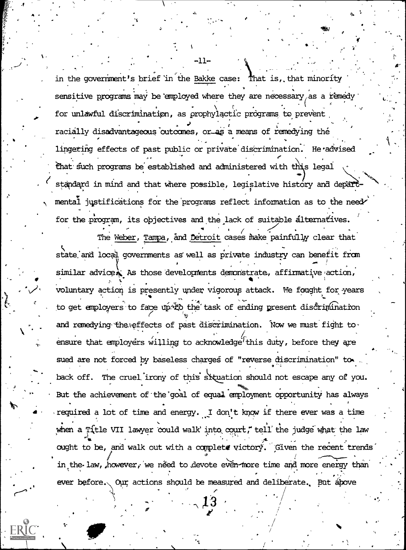in the government's brief in the <u>Bakke</u> case: That is, that minority sensitive programs may be'employed where they , are necessary,as a rbmedy- . for unlawful discrimination, as prophylactic programs to prevent racially disadvantageous outcomes, or as a means of remedying the lingering effects of past public or private discrimination. He advised that such programs be established and administered with legal standard in mind and that where possible, legislative history and depart mental justifications for the programs reflect information as to the need for the program, its objectives and the lack of suitable alternatives.

The Weber, Tampa, and Detroit cases make painfully clear that state and local governments as well as private industry can benefit from the state of the state of the state of similar advicer As those developments demonstrate, affirmative action, voluntary action is presently under vigorous attack. We fought for years to get employers to face up to the task of ending present discrimination and remedying the effects of past discrimination. Now we must fight toensure that employers willing to acknowledge this duty, before they are sued are not forced by baseless charges of "reverse discrimination" to back off. The cruel irony of this situation should not escape any of you. But the achievement of the goal of equal employment opportunity has always required a lot of time and energy. I don't know if there ever was a time when a Title VII lawyer could walk' into court, tell the judge what the law ought to be, and walk out with a complete victory. Given the recent trends in the law, however, we néed to devote even-more time and more energy than ever before. Our actions should be measured and deliberate.. But above

/

 $\ddot{\phantom{0}}$ 

 $-11-$ 

.

,

1: